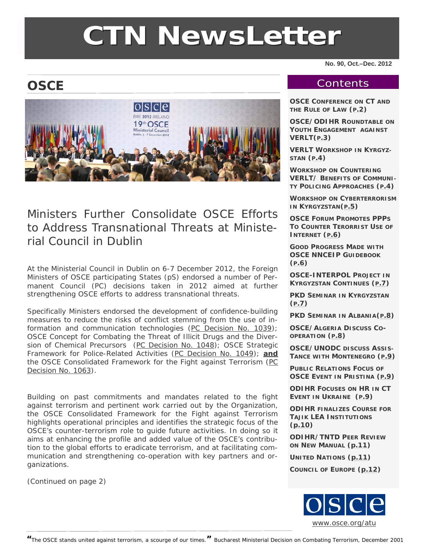# **CTN NewsLette NewsLetter**

**No. 90, Oct.–Dec. 2012** 

# **OSCE**



# Ministers Further Consolidate OSCE Efforts to Address Transnational Threats at Ministerial Council in Dublin

At the Ministerial Council in Dublin on 6-7 December 2012, the Foreign Ministers of OSCE participating States (pS) endorsed a number of Permanent Council (PC) decisions taken in 2012 aimed at further strengthening OSCE efforts to address transnational threats.

Specifically Ministers endorsed the development of confidence-building measures to reduce the risks of conflict stemming from the use of information and communication technologies ([PC Decision No. 1039\)](http://www.osce.org/pc/90169); OSCE Concept for Combating the Threat of Illicit Drugs and the Diver-sion of Chemical Precursors [\(PC Decision No. 1048](http://www.osce.org/pc/92557)); OSCE Strategic Framework for Police-Related Activities ([PC Decision No. 1049\)](http://www.osce.org/pc/92559); **and** the OSCE Consolidated Framework for the Fight against Terrorism (PC [Decision No. 1063](http://www.osce.org/pc/98008)).

Building on past commitments and mandates related to the fight against terrorism and pertinent work carried out by the Organization, the *OSCE Consolidated Framework for the Fight against Terrorism* highlights operational principles and identifies the strategic focus of the OSCE's counter-terrorism role to guide future activities. In doing so it aims at enhancing the profile and added value of the OSCE's contribution to the global efforts to eradicate terrorism, and at facilitating communication and strengthening co-operation with key partners and organizations.

(Continued on page 2)

#### **Contents**

**OSCE CONFERENCE ON CT AND THE RULE OF LAW ([P.2](#page-1-0))** 

**OSCE/ODIHR ROUNDTABLE ON YOUTH ENGAGEMENT AGAINST VERLT([P.3](#page-2-0))** 

**VERLT WORKSHOP IN KYRGYZ-STAN ([P.4](#page-3-0))** 

**WORKSHOP ON COUNTERING VERLT/ BENEFITS OF COMMUNI-TY POLICING APPROACHES ([P.4](#page-3-0))** 

**WORKSHOP ON CYBERTERRORISM IN KYRGYZSTAN([P.5](#page-4-0))** 

**OSCE FORUM PROMOTES PPPS TO COUNTER TERORRIST USE OF INTERNET ([P.6](#page-5-0))** 

**GOOD PROGRESS MADE WITH OSCE NNCEIP GUIDEBOOK ([P.6](#page-5-0))** 

**OSCE-INTERPOL PROJECT IN KYRGYZSTAN CONTINUES ([P.7](#page-6-0))** 

**PKD SEMINAR IN KYRGYZSTAN (P.7)** 

**PKD SEMINAR IN ALBANIA([P.8](#page-7-0))** 

**OSCE/ALGERIA DISCUSS CO-OPERATION ([P.8](#page-7-0))** 

**OSCE/UNODC DISCUSS ASSIS-TANCE WITH MONTENEGRO ([P.9](#page-8-0))** 

**PUBLIC RELATIONS FOCUS OF OSCE EVENT IN PRISTINA ([P.9](#page-8-0))** 

**ODIHR FOCUSES ON HR IN CT EVENT IN UKRAINE ([P.9](#page-8-0))** 

**ODIHR FINALIZES COURSE FOR TAJIK LEA INSTITUTIONS ([p.10](#page-9-0))** 

**ODIHR/TNTD PEER REVIEW ON NEW MANUAL [\(p.11](#page-10-0))** 

**UNITED NATIONS ([p.11](#page-10-0))** 

**COUNCIL OF EUROPE [\(p.12](#page-11-0))**

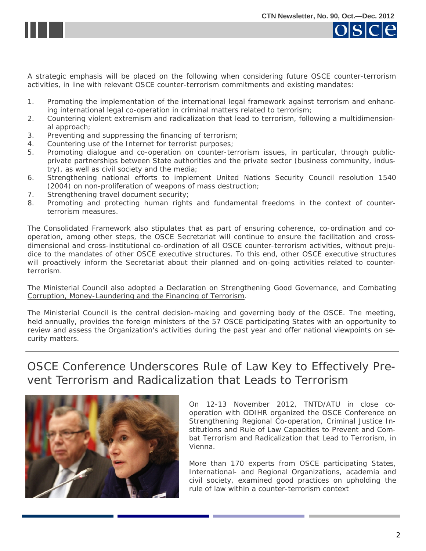<span id="page-1-0"></span>



A strategic emphasis will be placed on the following when considering future OSCE counter-terrorism activities, in line with relevant OSCE counter-terrorism commitments and existing mandates:

- 1. Promoting the implementation of the international legal framework against terrorism and enhancing international legal co-operation in criminal matters related to terrorism;
- 2. Countering violent extremism and radicalization that lead to terrorism, following a multidimensional approach;
- 3. Preventing and suppressing the financing of terrorism;
- 4. Countering use of the Internet for terrorist purposes;
- 5. Promoting dialogue and co-operation on counter-terrorism issues, in particular, through publicprivate partnerships between State authorities and the private sector (business community, industry), as well as civil society and the media;
- 6. Strengthening national efforts to implement United Nations Security Council resolution 1540 (2004) on non-proliferation of weapons of mass destruction;
- 7. Strengthening travel document security;
- 8. Promoting and protecting human rights and fundamental freedoms in the context of counterterrorism measures.

The Consolidated Framework also stipulates that as part of ensuring coherence, co-ordination and cooperation, *among other steps*, the OSCE Secretariat will continue to ensure the facilitation and crossdimensional and cross-institutional co-ordination of all OSCE counter-terrorism activities, without prejudice to the mandates of other OSCE executive structures. To this end, other OSCE executive structures will proactively inform the Secretariat about their planned and on-going activities related to counterterrorism.

The Ministerial Council also adopted a [Declaration on Strengthening Good Governance, and Combating](http://www.osce.org/cio/97968)  [Corruption, Money-Laundering and the Financing of Terrorism](http://www.osce.org/cio/97968).

The Ministerial Council is the central decision-making and governing body of the OSCE. The meeting, held annually, provides the foreign ministers of the 57 OSCE participating States with an opportunity to review and assess the Organization's activities during the past year and offer national viewpoints on security matters.

#### OSCE Conference Underscores Rule of Law Key to Effectively Prevent Terrorism and Radicalization that Leads to Terrorism



On 12-13 November 2012, TNTD/ATU in close cooperation with ODIHR organized the OSCE Conference on Strengthening Regional Co-operation, Criminal Justice Institutions and Rule of Law Capacities to Prevent and Combat Terrorism and Radicalization that Lead to Terrorism, in Vienna.

More than 170 experts from OSCE participating States, International- and Regional Organizations, academia and civil society, examined good practices on upholding the rule of law within a counter-terrorism context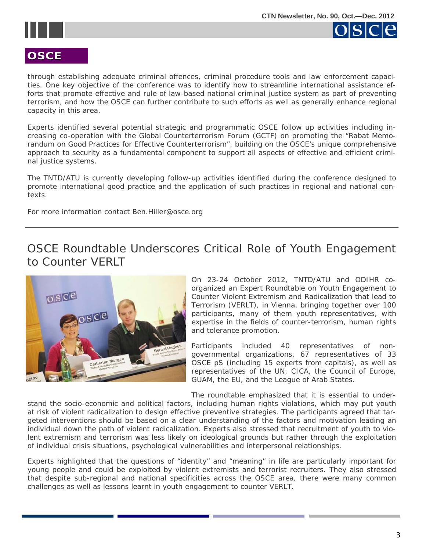<span id="page-2-0"></span>



#### **OSCE**

through establishing adequate criminal offences, criminal procedure tools and law enforcement capacities. One key objective of the conference was to identify how to streamline international assistance efforts that promote effective and rule of law-based national criminal justice system as part of preventing terrorism, and how the OSCE can further contribute to such efforts as well as generally enhance regional capacity in this area.

Experts identified several potential strategic and programmatic OSCE follow up activities including increasing co-operation with the Global Counterterrorism Forum (GCTF) on promoting the "Rabat Memorandum on Good Practices for Effective Counterterrorism", building on the OSCE's unique comprehensive approach to security as a fundamental component to support all aspects of effective and efficient criminal justice systems.

The TNTD/ATU is currently developing follow-up activities identified during the conference designed to promote international good practice and the application of such practices in regional and national contexts.

For more information contact [Ben.Hiller@osce.org](mailto:Ben.Hiller@osce.org)

OSCE Roundtable Underscores Critical Role of Youth Engagement to Counter VERLT



On 23-24 October 2012, TNTD/ATU and ODIHR coorganized an Expert Roundtable on Youth Engagement to Counter Violent Extremism and Radicalization that lead to Terrorism (VERLT), in Vienna, bringing together over 100 participants, many of them youth representatives, with expertise in the fields of counter-terrorism, human rights and tolerance promotion.

Participants included 40 representatives of nongovernmental organizations, 67 representatives of 33 OSCE pS (including 15 experts from capitals), as well as representatives of the UN, CICA, the Council of Europe, GUAM, the EU, and the League of Arab States.

The roundtable emphasized that it is essential to under-

stand the socio-economic and political factors, including human rights violations, which may put youth at risk of violent radicalization to design effective preventive strategies. The participants agreed that targeted interventions should be based on a clear understanding of the factors and motivation leading an individual down the path of violent radicalization. Experts also stressed that recruitment of youth to violent extremism and terrorism was less likely on ideological grounds but rather through the exploitation of individual crisis situations, psychological vulnerabilities and interpersonal relationships.

Experts highlighted that the questions of "identity" and "meaning" in life are particularly important for young people and could be exploited by violent extremists and terrorist recruiters. They also stressed that despite sub-regional and national specificities across the OSCE area, there were many common challenges as well as lessons learnt in youth engagement to counter VERLT.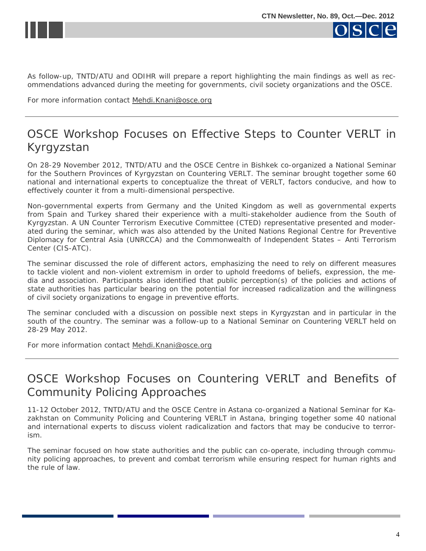<span id="page-3-0"></span>



As follow-up, TNTD/ATU and ODIHR will prepare a report highlighting the main findings as well as recommendations advanced during the meeting for governments, civil society organizations and the OSCE.

For more information contact [Mehdi.Knani@osce.org](mailto:Mehdi.Knani@osce.org)

### OSCE Workshop Focuses on Effective Steps to Counter VERLT in Kyrgyzstan

On 28-29 November 2012, TNTD/ATU and the OSCE Centre in Bishkek co-organized a National Seminar for the Southern Provinces of Kyrgyzstan on Countering VERLT. The seminar brought together some 60 national and international experts to conceptualize the threat of VERLT, factors conducive, and how to effectively counter it from a multi-dimensional perspective.

Non-governmental experts from Germany and the United Kingdom as well as governmental experts from Spain and Turkey shared their experience with a multi-stakeholder audience from the South of Kyrgyzstan. A UN Counter Terrorism Executive Committee (CTED) representative presented and moderated during the seminar, which was also attended by the United Nations Regional Centre for Preventive Diplomacy for Central Asia (UNRCCA) and the Commonwealth of Independent States – Anti Terrorism Center (CIS-ATC).

The seminar discussed the role of different actors, emphasizing the need to rely on different measures to tackle violent and non-violent extremism in order to uphold freedoms of beliefs, expression, the media and association. Participants also identified that public perception(s) of the policies and actions of state authorities has particular bearing on the potential for increased radicalization and the willingness of civil society organizations to engage in preventive efforts.

The seminar concluded with a discussion on possible next steps in Kyrgyzstan and in particular in the south of the country. The seminar was a follow-up to a National Seminar on Countering VERLT held on 28-29 May 2012.

For more information contact [Mehdi.Knani@osce.org](mailto:Mehdi.Knani@osce.org)

#### OSCE Workshop Focuses on Countering VERLT and Benefits of Community Policing Approaches

11-12 October 2012, TNTD/ATU and the OSCE Centre in Astana co-organized a National Seminar for Kazakhstan on Community Policing and Countering VERLT in Astana, bringing together some 40 national and international experts to discuss violent radicalization and factors that may be conducive to terrorism.

The seminar focused on how state authorities and the public can co-operate, including through community policing approaches, to prevent and combat terrorism while ensuring respect for human rights and the rule of law.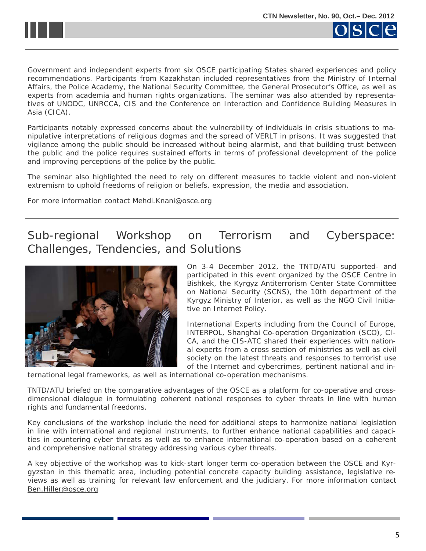<span id="page-4-0"></span>



Government and independent experts from six OSCE participating States shared experiences and policy recommendations. Participants from Kazakhstan included representatives from the Ministry of Internal Affairs, the Police Academy, the National Security Committee, the General Prosecutor's Office, as well as experts from academia and human rights organizations. The seminar was also attended by representatives of UNODC, UNRCCA, CIS and the Conference on Interaction and Confidence Building Measures in Asia (CICA).

Participants notably expressed concerns about the vulnerability of individuals in crisis situations to manipulative interpretations of religious dogmas and the spread of VERLT in prisons. It was suggested that vigilance among the public should be increased without being alarmist, and that building trust between the public and the police requires sustained efforts in terms of professional development of the police and improving perceptions of the police by the public.

The seminar also highlighted the need to rely on different measures to tackle violent and non-violent extremism to uphold freedoms of religion or beliefs, expression, the media and association.

For more information contact [Mehdi.Knani@osce.org](mailto:Mehdi.Knani@osce.org)

# Sub-regional Workshop on Terrorism and Cyberspace: Challenges, Tendencies, and Solutions



On 3-4 December 2012, the TNTD/ATU supported- and participated in this event organized by the OSCE Centre in Bishkek, the Kyrgyz Antiterrorism Center State Committee on National Security (SCNS), the 10th department of the Kyrgyz Ministry of Interior, as well as the NGO Civil Initiative on Internet Policy.

International Experts including from the Council of Europe, INTERPOL, Shanghai Co-operation Organization (SCO), CI-CA, and the CIS-ATC shared their experiences with national experts from a cross section of ministries as well as civil society on the latest threats and responses to terrorist use of the Internet and cybercrimes, pertinent national and in-

ternational legal frameworks, as well as international co-operation mechanisms.

TNTD/ATU briefed on the comparative advantages of the OSCE as a platform for co-operative and crossdimensional dialogue in formulating coherent national responses to cyber threats in line with human rights and fundamental freedoms.

Key conclusions of the workshop include the need for additional steps to harmonize national legislation in line with international and regional instruments, to further enhance national capabilities and capacities in countering cyber threats as well as to enhance international co-operation based on a coherent and comprehensive national strategy addressing various cyber threats.

A key objective of the workshop was to kick-start longer term co-operation between the OSCE and Kyrgyzstan in this thematic area, including potential concrete capacity building assistance, legislative reviews as well as training for relevant law enforcement and the judiciary. For more information contact [Ben.Hiller@osce.org](mailto:Ben.Hiller@osce.org)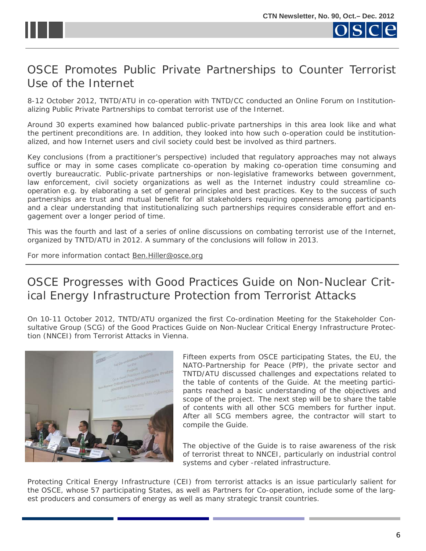<span id="page-5-0"></span>

#### OSCE Promotes Public Private Partnerships to Counter Terrorist Use of the Internet

8-12 October 2012, TNTD/ATU in co-operation with TNTD/CC conducted an Online Forum on Institutionalizing Public Private Partnerships to combat terrorist use of the Internet.

Around 30 experts examined how balanced public-private partnerships in this area look like and what the pertinent preconditions are. In addition, they looked into how such o-operation could be institutionalized, and how Internet users and civil society could best be involved as third partners.

Key conclusions (from a practitioner's perspective) included that regulatory approaches may not always suffice or may in some cases complicate co-operation by making co-operation time consuming and overtly bureaucratic. Public-private partnerships or non-legislative frameworks between government, law enforcement, civil society organizations as well as the Internet industry could streamline cooperation e.g. by elaborating a set of general principles and best practices. Key to the success of such partnerships are trust and mutual benefit for all stakeholders requiring openness among participants and a clear understanding that institutionalizing such partnerships requires considerable effort and engagement over a longer period of time.

This was the fourth and last of a series of online discussions on combating terrorist use of the Internet, organized by TNTD/ATU in 2012. A summary of the conclusions will follow in 2013.

For more information contact [Ben.Hiller@osce.org](mailto:Ben.Hiller@osce.org)

# OSCE Progresses with Good Practices Guide on Non-Nuclear Critical Energy Infrastructure Protection from Terrorist Attacks

On 10-11 October 2012, TNTD/ATU organized the first Co-ordination Meeting for the Stakeholder Consultative Group (SCG) of the *Good Practices Guide on Non-Nuclear Critical Energy Infrastructure Protection (NNCEI) from Terrorist Attacks* in Vienna.



Fifteen experts from OSCE participating States, the EU, the NATO-Partnership for Peace (PfP), the private sector and TNTD/ATU discussed challenges and expectations related to the table of contents of the Guide. At the meeting participants reached a basic understanding of the objectives and scope of the project. The next step will be to share the table of contents with all other SCG members for further input. After all SCG members agree, the contractor will start to compile the Guide.

The objective of the Guide is to raise awareness of the risk of terrorist threat to NNCEI, particularly on industrial control systems and cyber -related infrastructure.

Protecting Critical Energy Infrastructure (CEI) from terrorist attacks is an issue particularly salient for the OSCE, whose 57 participating States, as well as Partners for Co-operation, include some of the largest producers and consumers of energy as well as many strategic transit countries.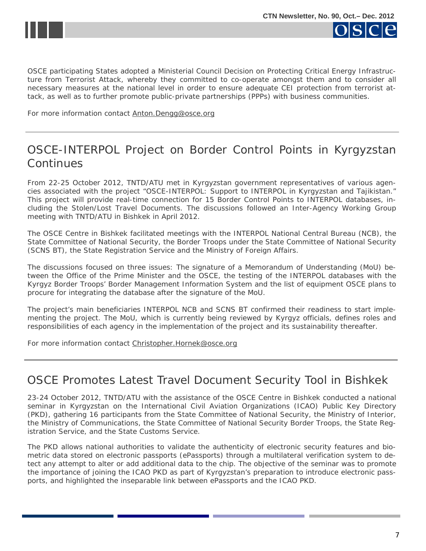<span id="page-6-0"></span>



OSCE participating States adopted a Ministerial Council Decision on Protecting Critical Energy Infrastructure from Terrorist Attack, whereby they committed to co-operate amongst them and to consider all necessary measures at the national level in order to ensure adequate CEI protection from terrorist attack, as well as to further promote public-private partnerships (PPPs) with business communities.

For more information contact [Anton.Dengg@osce.org](mailto:Anton.Dengg@osce.org)

# OSCE-INTERPOL Project on Border Control Points in Kyrgyzstan **Continues**

From 22-25 October 2012, TNTD/ATU met in Kyrgyzstan government representatives of various agencies associated with the project "OSCE-INTERPOL: Support to INTERPOL in Kyrgyzstan and Tajikistan." This project will provide real-time connection for 15 Border Control Points to INTERPOL databases, including the Stolen/Lost Travel Documents. The discussions followed an Inter-Agency Working Group meeting with TNTD/ATU in Bishkek in April 2012.

The OSCE Centre in Bishkek facilitated meetings with the INTERPOL National Central Bureau (NCB), the State Committee of National Security, the Border Troops under the State Committee of National Security (SCNS BT), the State Registration Service and the Ministry of Foreign Affairs.

The discussions focused on three issues: The signature of a Memorandum of Understanding (MoU) between the Office of the Prime Minister and the OSCE, the testing of the INTERPOL databases with the Kyrgyz Border Troops' Border Management Information System and the list of equipment OSCE plans to procure for integrating the database after the signature of the MoU.

The project's main beneficiaries INTERPOL NCB and SCNS BT confirmed their readiness to start implementing the project. The MoU, which is currently being reviewed by Kyrgyz officials, defines roles and responsibilities of each agency in the implementation of the project and its sustainability thereafter.

For more information contact [Christopher.Hornek@osce.org](mailto:Christopher.Hornek@osce.org)

#### OSCE Promotes Latest Travel Document Security Tool in Bishkek

23-24 October 2012, TNTD/ATU with the assistance of the OSCE Centre in Bishkek conducted a national seminar in Kyrgyzstan on the International Civil Aviation Organizations (ICAO) Public Key Directory (PKD), gathering 16 participants from the State Committee of National Security, the Ministry of Interior, the Ministry of Communications, the State Committee of National Security Border Troops, the State Registration Service, and the State Customs Service.

The PKD allows national authorities to validate the authenticity of electronic security features and biometric data stored on electronic passports (ePassports) through a multilateral verification system to detect any attempt to alter or add additional data to the chip. The objective of the seminar was to promote the importance of joining the ICAO PKD as part of Kyrgyzstan's preparation to introduce electronic passports, and highlighted the inseparable link between ePassports and the ICAO PKD.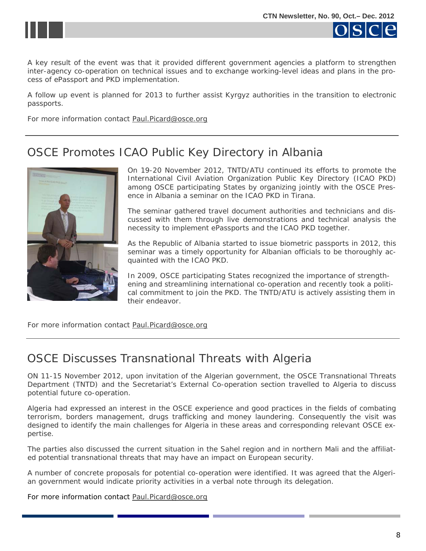<span id="page-7-0"></span>



A key result of the event was that it provided different government agencies a platform to strengthen inter-agency co-operation on technical issues and to exchange working-level ideas and plans in the process of ePassport and PKD implementation.

A follow up event is planned for 2013 to further assist Kyrgyz authorities in the transition to electronic passports.

For more information contact **Paul.Picard@osce.org** 

#### OSCE Promotes ICAO Public Key Directory in Albania



On 19-20 November 2012, TNTD/ATU continued its efforts to promote the International Civil Aviation Organization Public Key Directory (ICAO PKD) among OSCE participating States by organizing jointly with the OSCE Presence in Albania a seminar on the ICAO PKD in Tirana.

The seminar gathered travel document authorities and technicians and discussed with them through live demonstrations and technical analysis the necessity to implement ePassports and the ICAO PKD together.

As the Republic of Albania started to issue biometric passports in 2012, this seminar was a timely opportunity for Albanian officials to be thoroughly acquainted with the ICAO PKD.

In 2009, OSCE participating States recognized the importance of strengthening and streamlining international co-operation and recently took a political commitment to join the PKD. The TNTD/ATU is actively assisting them in their endeavor.

For more information contact [Paul.Picard@osce.org](mailto:Paul.Picard@osce.org)

# OSCE Discusses Transnational Threats with Algeria

ON 11-15 November 2012, upon invitation of the Algerian government, the OSCE Transnational Threats Department (TNTD) and the Secretariat's External Co-operation section travelled to Algeria to discuss potential future co-operation.

Algeria had expressed an interest in the OSCE experience and good practices in the fields of combating terrorism, borders management, drugs trafficking and money laundering. Consequently the visit was designed to identify the main challenges for Algeria in these areas and corresponding relevant OSCE expertise.

The parties also discussed the current situation in the Sahel region and in northern Mali and the affiliated potential transnational threats that may have an impact on European security.

A number of concrete proposals for potential co-operation were identified. It was agreed that the Algerian government would indicate priority activities in a verbal note through its delegation.

For more information contact [Paul.Picard@osce.org](mailto:Paul.Picard@osce.org)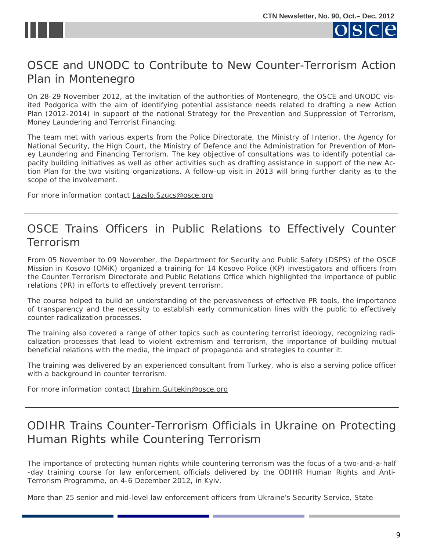<span id="page-8-0"></span>



# OSCE and UNODC to Contribute to New Counter-Terrorism Action Plan in Montenegro

On 28-29 November 2012, at the invitation of the authorities of Montenegro, the OSCE and UNODC visited Podgorica with the aim of identifying potential assistance needs related to drafting a new Action Plan (2012-2014) in support of the national *Strategy for the Prevention and Suppression of Terrorism, Money Laundering and Terrorist Financing*.

The team met with various experts from the Police Directorate, the Ministry of Interior, the Agency for National Security, the High Court, the Ministry of Defence and the Administration for Prevention of Money Laundering and Financing Terrorism. The key objective of consultations was to identify potential capacity building initiatives as well as other activities such as drafting assistance in support of the new Action Plan for the two visiting organizations. A follow-up visit in 2013 will bring further clarity as to the scope of the involvement.

For more information contact [Lazslo.Szucs@osce.org](mailto:Lazslo.Szucs@osce.org)

#### OSCE Trains Officers in Public Relations to Effectively Counter Terrorism

From 05 November to 09 November, the Department for Security and Public Safety (DSPS) of the OSCE Mission in Kosovo (OMiK) organized a training for 14 Kosovo Police (KP) investigators and officers from the Counter Terrorism Directorate and Public Relations Office which highlighted the importance of public relations (PR) in efforts to effectively prevent terrorism.

The course helped to build an understanding of the pervasiveness of effective PR tools, the importance of transparency and the necessity to establish early communication lines with the public to effectively counter radicalization processes.

The training also covered a range of other topics such as countering terrorist ideology, recognizing radicalization processes that lead to violent extremism and terrorism, the importance of building mutual beneficial relations with the media, the impact of propaganda and strategies to counter it.

The training was delivered by an experienced consultant from Turkey, who is also a serving police officer with a background in counter terrorism.

For more information contact [Ibrahim.Gultekin@osce.org](mailto:Ibrahim.Gultekin@osce.org)

# ODIHR Trains Counter-Terrorism Officials in Ukraine on Protecting Human Rights while Countering Terrorism

The importance of protecting human rights while countering terrorism was the focus of a two-and-a-half -day training course for law enforcement officials delivered by the ODIHR Human Rights and Anti-Terrorism Programme, on 4-6 December 2012, in Kyiv.

More than 25 senior and mid-level law enforcement officers from Ukraine's Security Service, State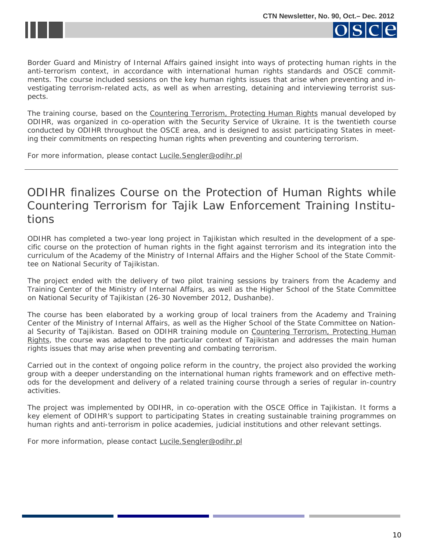

<span id="page-9-0"></span>



Border Guard and Ministry of Internal Affairs gained insight into ways of protecting human rights in the anti-terrorism context, in accordance with international human rights standards and OSCE commitments. The course included sessions on the key human rights issues that arise when preventing and investigating terrorism-related acts, as well as when arresting, detaining and interviewing terrorist suspects.

The training course, based on the [Countering Terrorism, Protecting Human Rights](http://www.osce.org/odihr/29103) manual developed by ODIHR, was organized in co-operation with the Security Service of Ukraine. It is the twentieth course conducted by ODIHR throughout the OSCE area, and is designed to assist participating States in meeting their commitments on respecting human rights when preventing and countering terrorism.

For more information, please contact [Lucile.Sengler@odihr.pl](mailto:Lucile.Sengler@odihr.pl)

## ODIHR finalizes Course on the Protection of Human Rights while Countering Terrorism for Tajik Law Enforcement Training Institutions

ODIHR has completed a two-year long project in Tajikistan which resulted in the development of a specific course on the protection of human rights in the fight against terrorism and its integration into the curriculum of the Academy of the Ministry of Internal Affairs and the Higher School of the State Committee on National Security of Tajikistan.

The project ended with the delivery of two pilot training sessions by trainers from the Academy and Training Center of the Ministry of Internal Affairs, as well as the Higher School of the State Committee on National Security of Tajikistan (26-30 November 2012, Dushanbe).

The course has been elaborated by a working group of local trainers from the Academy and Training Center of the Ministry of Internal Affairs, as well as the Higher School of the State Committee on National Security of Tajikistan. Based on ODIHR training module on Countering Terrorism, Protecting Human [Rights](http://www.osce.org/odihr/29103), the course was adapted to the particular context of Tajikistan and addresses the main human rights issues that may arise when preventing and combating terrorism.

Carried out in the context of ongoing police reform in the country, the project also provided the working group with a deeper understanding on the international human rights framework and on effective methods for the development and delivery of a related training course through a series of regular in-country activities.

The project was implemented by ODIHR, in co-operation with the OSCE Office in Tajikistan. It forms a key element of ODIHR's support to participating States in creating sustainable training programmes on human rights and anti-terrorism in police academies, judicial institutions and other relevant settings.

For more information, please contact [Lucile.Sengler@odihr.pl](mailto:Lucile.Sengler@odihr.pl)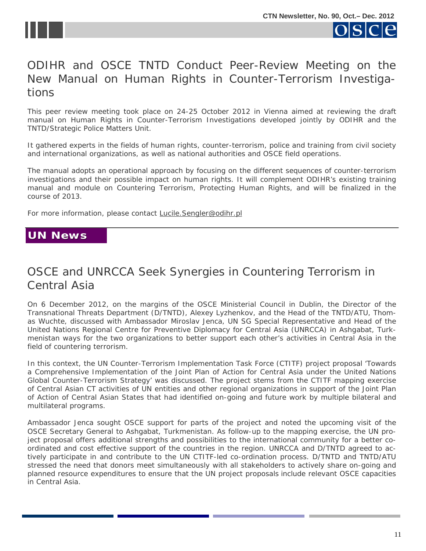<span id="page-10-0"></span>



# ODIHR and OSCE TNTD Conduct Peer-Review Meeting on the New Manual on *Human Rights in Counter-Terrorism Investigations*

This peer review meeting took place on 24-25 October 2012 in Vienna aimed at reviewing the draft manual on *Human Rights in Counter-Terrorism Investigations* developed jointly by ODIHR and the TNTD/Strategic Police Matters Unit.

It gathered experts in the fields of human rights, counter-terrorism, police and training from civil society and international organizations, as well as national authorities and OSCE field operations.

The manual adopts an operational approach by focusing on the different sequences of counter-terrorism investigations and their possible impact on human rights. It will complement ODIHR's existing training manual and module on *Countering Terrorism, Protecting Human Rights,* and will be finalized in the course of 2013.

For more information, please contact [Lucile.Sengler@odihr.pl](mailto:Lucile.Sengler@odihr.pl)

#### **UN News UN News**

# OSCE and UNRCCA Seek Synergies in Countering Terrorism in Central Asia

On 6 December 2012, on the margins of the OSCE Ministerial Council in Dublin, the Director of the Transnational Threats Department (D/TNTD), Alexey Lyzhenkov, and the Head of the TNTD/ATU, Thomas Wuchte, discussed with Ambassador Miroslav Jenca, UN SG Special Representative and Head of the United Nations Regional Centre for Preventive Diplomacy for Central Asia (UNRCCA) in Ashgabat, Turkmenistan ways for the two organizations to better support each other's activities in Central Asia in the field of countering terrorism.

In this context, the UN Counter-Terrorism Implementation Task Force (CTITF) project proposal *'Towards a Comprehensive Implementation of the Joint Plan of Action for Central Asia under the United Nations Global Counter-Terrorism Strategy'* was discussed. The project stems from the CTITF mapping exercise of Central Asian CT activities of UN entities and other regional organizations in support of the Joint Plan of Action of Central Asian States that had identified on-going and future work by multiple bilateral and multilateral programs.

Ambassador Jenca sought OSCE support for parts of the project and noted the upcoming visit of the OSCE Secretary General to Ashgabat, Turkmenistan. As follow-up to the mapping exercise, the UN project proposal offers additional strengths and possibilities to the international community for a better coordinated and cost effective support of the countries in the region. UNRCCA and D/TNTD agreed to actively participate in and contribute to the UN CTITF-led co-ordination process. D/TNTD and TNTD/ATU stressed the need that donors meet simultaneously with all stakeholders to actively share on-going and planned resource expenditures to ensure that the UN project proposals include relevant OSCE capacities in Central Asia.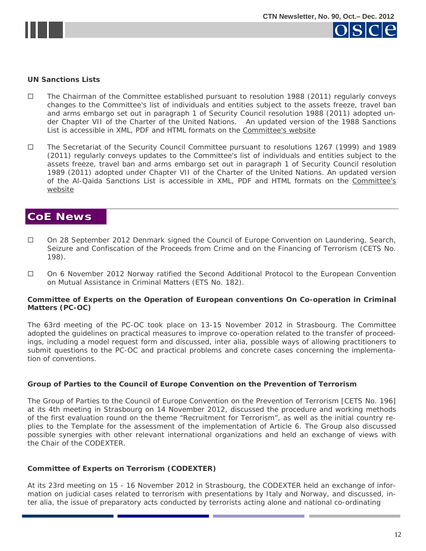<span id="page-11-0"></span>



#### **UN Sanctions Lists**

- $\Box$  The Chairman of the Committee established pursuant to resolution 1988 (2011) regularly conveys changes to the Committee's list of individuals and entities subject to the assets freeze, travel ban and arms embargo set out in paragraph 1 of Security Council resolution 1988 (2011) adopted under Chapter VII of the Charter of the United Nations. An updated version of the 1988 Sanctions List is accessible in XML, PDF and HTML formats on the [Committee's website](http://www.un.org/sc/committees/1988/list.shtml)
- The Secretariat of the Security Council Committee pursuant to resolutions 1267 (1999) and 1989 (2011) regularly conveys updates to the Committee's list of individuals and entities subject to the assets freeze, travel ban and arms embargo set out in paragraph 1 of Security Council resolution 1989 (2011) adopted under Chapter VII of the Charter of the United Nations. An updated version of the Al-Qaida Sanctions List is accessible in XML, PDF and HTML formats on the [Committee's](http://www.un.org/sc/committees/1267/aq_sanctions_list.shtml.) [website](http://www.un.org/sc/committees/1267/aq_sanctions_list.shtml.)

#### **CoE News CoE News**

- On 28 September 2012 Denmark signed the Council of Europe Convention on Laundering, Search, Seizure and Confiscation of the Proceeds from Crime and on the Financing of Terrorism (CETS No. 198).
- On 6 November 2012 Norway ratified the Second Additional Protocol to the European Convention on Mutual Assistance in Criminal Matters (ETS No. 182).

#### **Committee of Experts on the Operation of European conventions On Co-operation in Criminal Matters (PC-OC)**

The 63rd meeting of the PC-OC took place on 13-15 November 2012 in Strasbourg. The Committee adopted the guidelines on practical measures to improve co-operation related to the transfer of proceedings, including a model request form and discussed, inter alia, possible ways of allowing practitioners to submit questions to the PC-OC and practical problems and concrete cases concerning the implementation of conventions.

#### **Group of Parties to the Council of Europe Convention on the Prevention of Terrorism**

The Group of Parties to the Council of Europe Convention on the Prevention of Terrorism [CETS No. 196] at its 4th meeting in Strasbourg on 14 November 2012, discussed the procedure and working methods of the first evaluation round on the theme "Recruitment for Terrorism", as well as the initial country replies to the Template for the assessment of the implementation of Article 6. The Group also discussed possible synergies with other relevant international organizations and held an exchange of views with the Chair of the CODEXTER.

#### **Committee of Experts on Terrorism (CODEXTER)**

 ter alia, the issue of preparatory acts conducted by terrorists acting alone and national co-ordinating At its 23rd meeting on 15 - 16 November 2012 in Strasbourg, the CODEXTER held an exchange of information on judicial cases related to terrorism with presentations by Italy and Norway, and discussed, in-